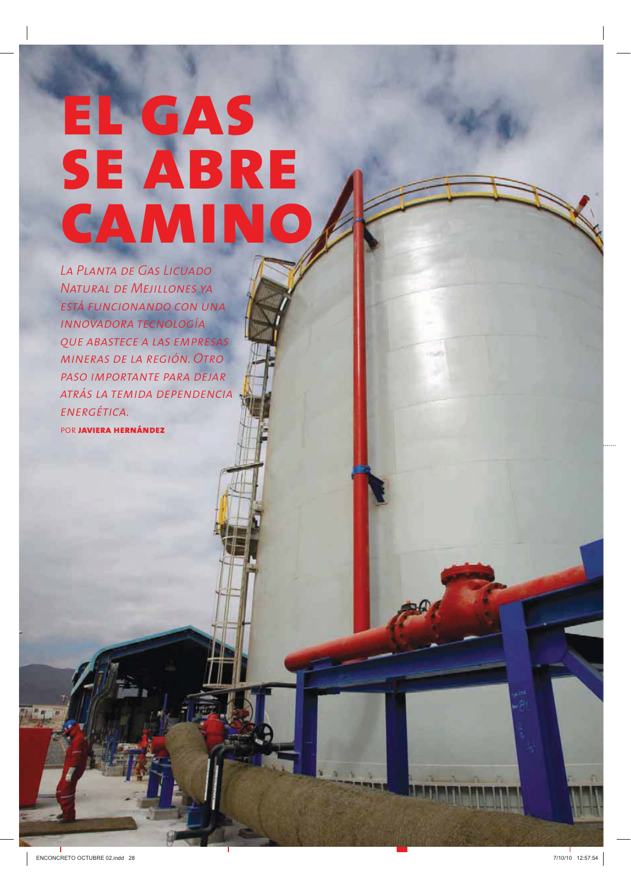# EL GAS **SE ABRE** CAMINO

LA PLANTA DE GAS LICUADO **NATURAL DE MEJILLONES YA** ESTÁ FUNCIONANDO CON UNA **INNOVADORA TECNOLOGÍA OUE ABASTECE A LAS EMPRESAS** MINERAS DE LA REGIÓN. OTRO PASO IMPORTANTE PARA DEJAR ATRÁS LA TEMIDA DEPENDENCIA ENERGÉTICA. POR **JAVIERA HERNÁNDEZ**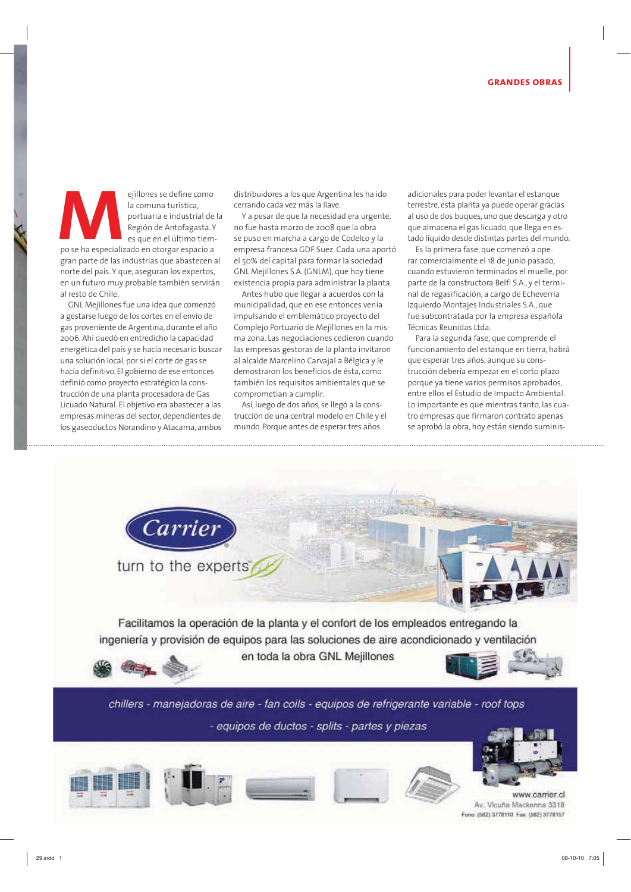ejillones se define como la comuna turística, portuaria e industrial de la Región de Antofagasta. Y es que en el último tiempo se ha especializado en otorgar espacio a gran parte de las industrias que abastecen al norte del país. Y que, aseguran los expertos, en un futuro muy probable también servirán al resto de Chile.

GNL Mejillones fue una idea que comenzó a gestarse luego de los cortes en el envío de gas proveniente de Argentina, durante el año 2006. Ahí quedó en entredicho la capacidad energética del país y se hacía necesario buscar una solución local, por si el corte de gas se hacía definitivo. El gobierno de ese entonces definió como proyecto estratégico la construcción de una planta procesadora de Gas Licuado Natural. El obietivo era abastecer a las empresas mineras del sector, dependientes de los gaseoductos Norandino y Atacama, ambos

distribuidores a los que Argentina les ha ido cerrando cada vez más la llave.

Y a pesar de que la necesidad era urgente, no fue hasta marzo de 2008 que la obra se puso en marcha a cargo de Codelco y la empresa francesa GDF Suez. Cada una aportó el 50% del capital para formar la sociedad GNL Mejillones S.A. (GNLM), que hoy tiene existencia propia para administrar la planta.

Antes hubo que llegar a acuerdos con la municipalidad, que en ese entonces venía impulsando el emblemático proyecto del Complejo Portuario de Mejillones en la misma zona. Las negociaciones cedieron cuando las empresas gestoras de la planta invitaron al alcalde Marcelino Carvajal a Bélgica y le demostraron los beneficios de ésta, como también los requisitos ambientales que se comprometían a cumplir.

Así, luego de dos años, se llegó a la construcción de una central modelo en Chile y el mundo. Porque antes de esperar tres años

adicionales para poder levantar el estangue terrestre, esta planta ya puede operar gracias al uso de dos buques, uno que descarga y otro que almacena el gas licuado, que llega en estado líquido desde distintas partes del mundo.

Es la primera fase, que comenzó a operar comercialmente el 18 de junio pasado, cuando estuvieron terminados el muelle, por parte de la constructora Belfi S.A., y el terminal de regasificación, a cargo de Echeverría Izquierdo Montajes Industriales S.A., que fue subcontratada por la empresa española Técnicas Reunidas Ltda.

Para la segunda fase, que comprende el funcionamiento del estanque en tierra, habrá que esperar tres años, aunque su construcción debería empezar en el corto plazo porque ya tiene varios permisos aprobados, entre ellos el Estudio de Impacto Ambiental. Lo importante es que mientras tanto, las cuatro empresas que firmaron contrato apenas se aprobó la obra, hoy están siendo suminis-



chillers - manejadoras de aire - fan coils - equipos de refrigerante variable - roof tops - equipos de ductos - splits - partes y piezas





www.carrier.cl Av. Vicuña Mackenna 3318 Fono: (562) 3778110 Fax: (562) 3778157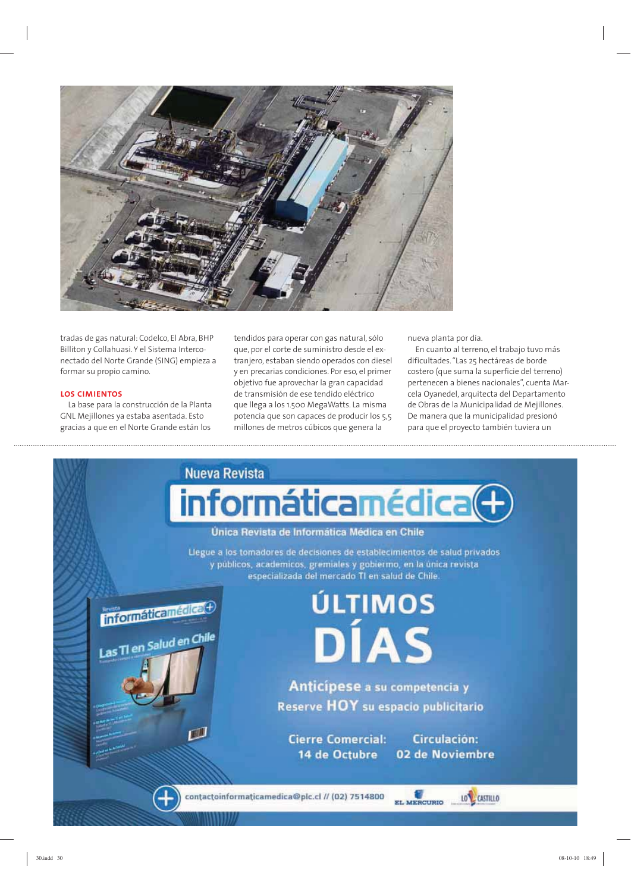

tradas de gas natural: Codelco, El Abra, BHP Billiton y Collahuasi. Y el Sistema Interconectado del Norte Grande (SING) empieza a formar su propio camino.

#### **LOS CIMIENTOS**

La base para la construcción de la Planta GNL Mejillones ya estaba asentada. Esto gracias a que en el Norte Grande están los

tendidos para operar con gas natural, sólo que, por el corte de suministro desde el extranjero, estaban siendo operados con diesel y en precarias condiciones. Por eso, el primer objetivo fue aprovechar la gran capacidad de transmisión de ese tendido eléctrico que llega a los 1.500 MegaWatts. La misma potencia que son capaces de producir los 5,5 millones de metros cúbicos que genera la

nueva planta por día.

En cuanto al terreno, el trabajo tuvo más dificultades. "Las 25 hectáreas de borde costero (que suma la superficie del terreno) pertenecen a bienes nacionales", cuenta Marcela Oyanedel, arquitecta del Departamento de Obras de la Municipalidad de Meiillones. De manera que la municipalidad presionó para que el proyecto también tuviera un

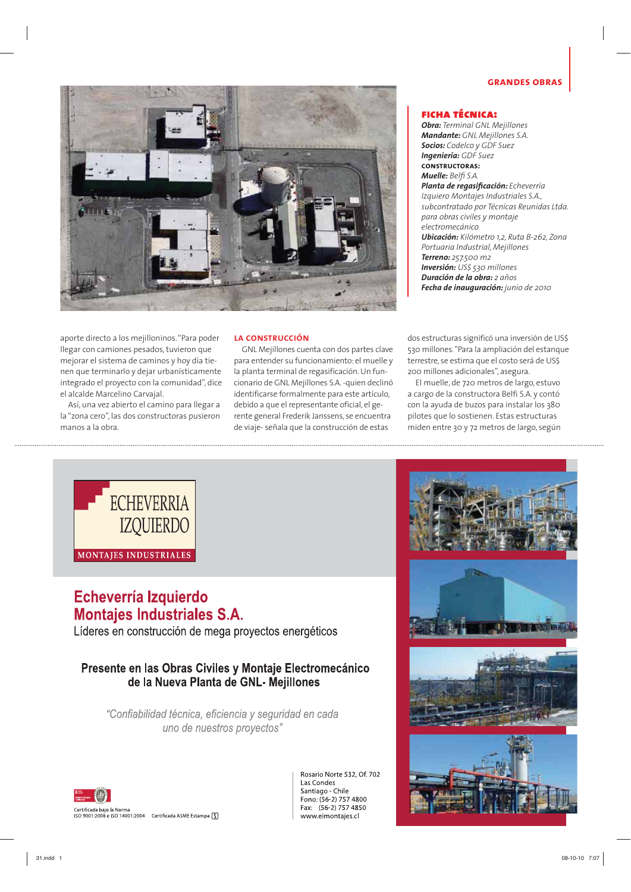#### **GRANDES OBRAS**



aporte directo a los mejilloninos. "Para poder llegar con camiones pesados, tuvieron que mejorar el sistema de caminos y hoy día tienen que terminarlo y dejar urbanísticamente integrado el proyecto con la comunidad", dice el alcalde Marcelino Carvajal.

Así, una vez abierto el camino para llegar a la "zona cero", las dos constructoras pusieron manos a la obra

#### LA CONSTRUCCIÓN

GNL Mejillones cuenta con dos partes clave para entender su funcionamiento: el muelle y la planta terminal de regasificación. Un funcionario de GNL Mejillones S.A. -quien declinó identificarse formalmente para este artículo, debido a que el representante oficial, el gerente general Frederik Janssens, se encuentra de viaje-señala que la construcción de estas

#### **FICHA TÉCNICA:**

**Obra:** Terminal GNL Mejillones **Mandante:** GNL Mejillones S.A. **Socios:** Codelco y GDF Suez **Ingeniería:** GDF Suez **CONSTRUCTORAS:** Muelle: Belfi S.A. Planta de regasificación: Echeverría Izquiero Montajes Industriales S.A., subcontratado por Técnicas Reunidas Ltda. para obras civiles y montaje electromecánico Ubicación: Kilómetro 1,2, Ruta B-262, Zona Portuaria Industrial, Mejillones Terreno: 257.500 m2 **Inversión:** US\$ 530 millones **Duración de la obra:** 2 años Fecha de inauguración: junio de 2010

dos estructuras significó una inversión de US\$ 530 millones. "Para la ampliación del estanque terrestre, se estima que el costo será de US\$ 200 millones adicionales", asegura.

El muelle, de 720 metros de largo, estuvo a cargo de la constructora Belfi S.A. y contó con la avuda de buzos para instalar los 380 pilotes que lo sostienen. Estas estructuras miden entre 30 y 72 metros de largo, según



#### Echeverría Izquierdo **Montajes Industriales S.A.**

Líderes en construcción de mega proyectos energéticos

#### Presente en las Obras Civiles y Montaje Electromecánico de la Nueva Planta de GNL-Mejillones

"Confiabilidad técnica, eficiencia y seguridad en cada uno de nuestros proyectos"



Bosario Norte 532 Of 702 Las Condes Santiago - Chile Fono: (56-2) 757 4800 Fax: (56-2) 757 4850 www.eimontajes.cl

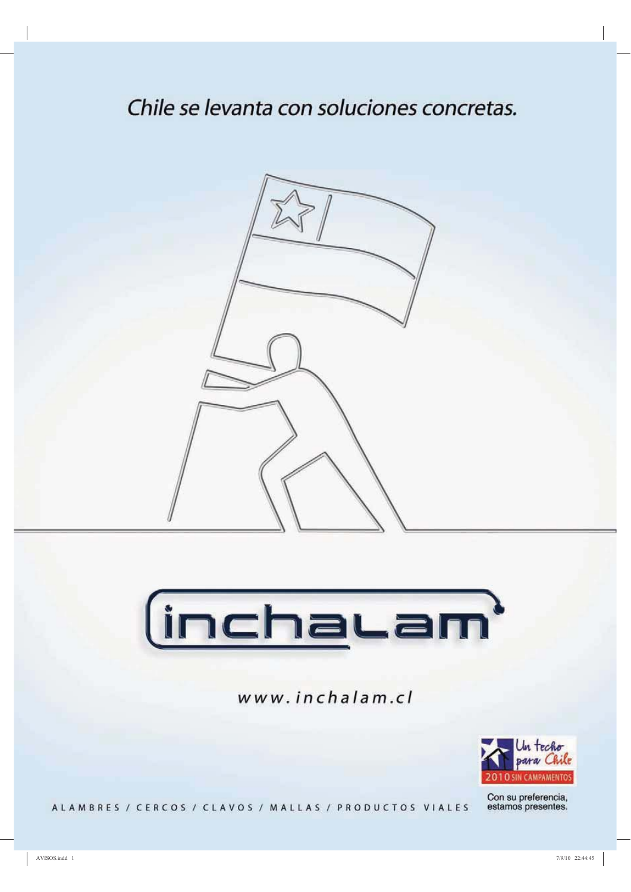### Chile se levanta con soluciones concretas.





www.inchalam.cl



Con su preferencia,<br>estamos presentes.

ALAMBRES / CERCOS / CLAVOS / MALLAS / PRODUCTOS VIALES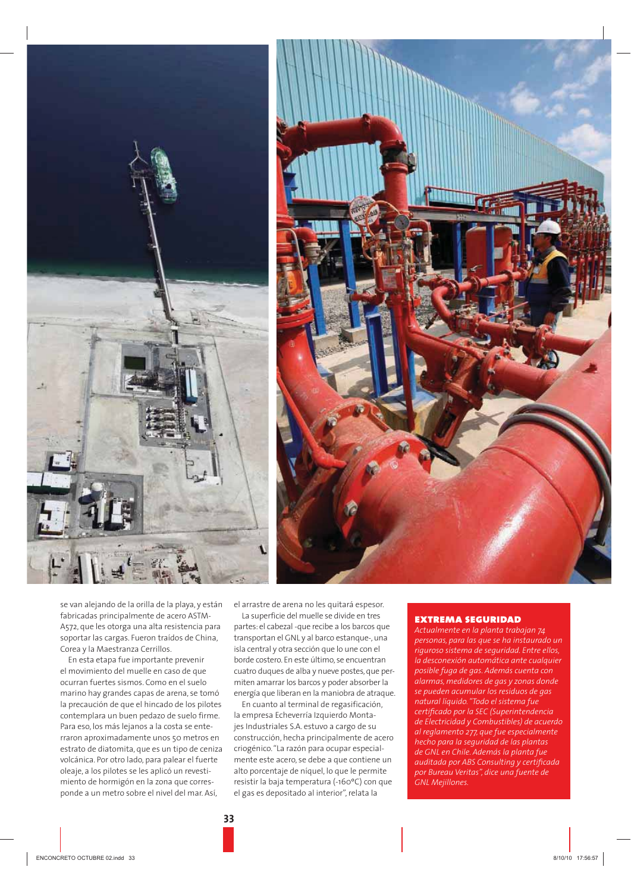



se van alejando de la orilla de la playa, y están fabricadas principalmente de acero ASTM-A572, que les otorga una alta resistencia para soportar las cargas. Fueron traídos de China, Corea y la Maestranza Cerrillos.

En esta etapa fue importante prevenir el movimiento del muelle en caso de que ocurran fuertes sismos. Como en el suelo marino hay grandes capas de arena, se tomó la precaución de que el hincado de los pilotes contemplara un buen pedazo de suelo firme. Para eso, los más lejanos a la costa se enterraron aproximadamente unos 50 metros en estrato de diatomita, que es un tipo de ceniza volcánica. Por otro lado, para palear el fuerte oleaje, a los pilotes se les aplicó un revestimiento de hormigón en la zona que corresponde a un metro sobre el nivel del mar. Así,

el arrastre de arena no les quitará espesor.

La superficie del muelle se divide en tres partes: el cabezal -que recibe a los barcos que transportan el GNL y al barco estanque-, una isla central y otra sección que lo une con el borde costero. En este último, se encuentran cuatro duques de alba y nueve postes, que permiten amarrar los barcos y poder absorber la energía que liberan en la maniobra de atraque.

En cuanto al terminal de regasificación, la empresa Echeverría Izquierdo Montaies Industriales S.A. estuvo a cargo de su construcción, hecha principalmente de acero criogénico. "La razón para ocupar especialmente este acero, se debe a que contiene un alto porcentaje de níquel, lo que le permite resistir la baja temperatura (-160°C) con que el gas es depositado al interior", relata la

#### **EXTREMA SEGURIDAD**

Actualmente en la planta trabajan 74 personas, para las que se ha instaurado un riguroso sistema de seguridad. Entre ellos, la desconexión automática ante cualaujer posible fuga de gas. Además cuenta con alarmas, medidores de gas y zonas donde se pueden acumular los residuos de gas natural líquido. "Todo el sistema fue certificado por la SEC (Superintendencia de Electricidad y Combustibles) de acuerdo al reglamento 277, que fue especialmente hecho para la seguridad de las plantas de GNL en Chile. Además la planta fue auditada por ABS Consulting y certificada por Bureau Veritas", dice una fuente de GNL Mejillones.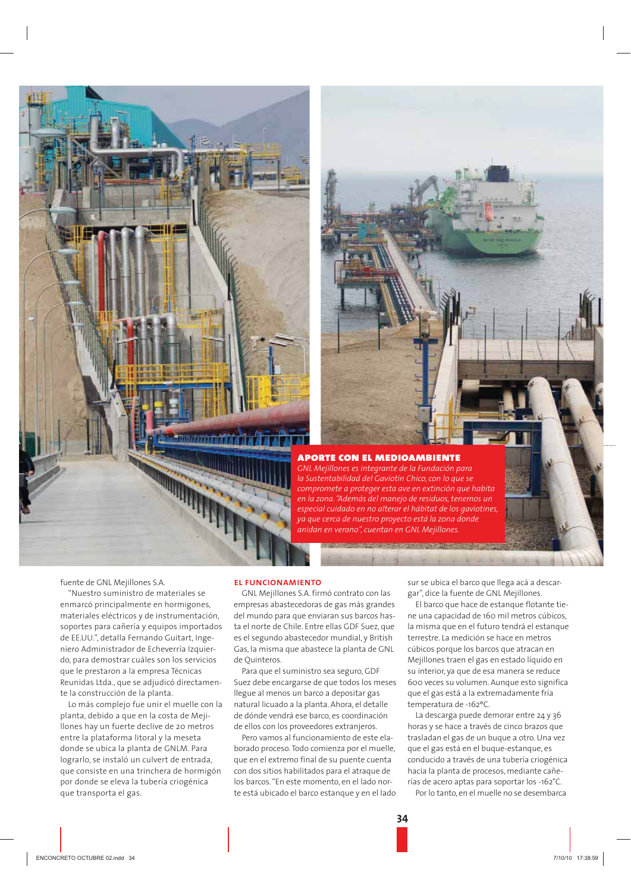



#### **APORTE CON EL MEDIOAMBIENTE**

GNL Meiillones es intearante de la Fundación para la Sustentabilidad del Gaviotín Chico, con lo que se compromete a proteger esta ave en extinción que habita en la zona. "Además del manejo de residuos, tenemos un especial cuidado en no alterar el hábitat de los gaviotines ya que cerca de nuestro proyecto está la zona donde ,<br>anidan en verano", cuentan en GNL Mejillones.

fuente de GNL Mejillones S.A.

"Nuestro suministro de materiales se enmarcó principalmente en hormigones, materiales eléctricos y de instrumentación, soportes para cañería y equipos importados de EE.UU.", detalla Fernando Guitart, Ingeniero Administrador de Echeverría Izquierdo, para demostrar cuáles son los servicios que le prestaron a la empresa Técnicas Reunidas Ltda., que se adjudicó directamente la construcción de la planta.

Lo más complejo fue unir el muelle con la planta, debido a que en la costa de Mejillones hay un fuerte declive de 20 metros entre la plataforma litoral y la meseta donde se ubica la planta de GNLM. Para lograrlo, se instaló un culvert de entrada, que consiste en una trinchera de hormigón por donde se eleva la tubería criogénica que transporta el gas.

#### **EL FUNCIONAMIENTO**

GNL Mejillones S.A. firmó contrato con las empresas abastecedoras de gas más grandes del mundo para que enviaran sus barcos hasta el norte de Chile. Entre ellas GDF Suez, que es el segundo abastecedor mundial, y British Gas, la misma que abastece la planta de GNL de Quinteros.

Para que el suministro sea seguro, GDF Suez debe encargarse de que todos los meses llegue al menos un barco a depositar gas natural licuado a la planta. Ahora, el detalle de dónde vendrá ese barco, es coordinación de ellos con los proveedores extranieros

Pero vamos al funcionamiento de este elaborado proceso. Todo comienza por el muelle, que en el extremo final de su puente cuenta con dos sitios habilitados para el atraque de los barcos. "En este momento, en el lado norte está ubicado el barco estanque y en el lado sur se ubica el barco que llega acá a descargar", dice la fuente de GNL Mejillones.

El barco que hace de estanque flotante tiene una capacidad de 160 mil metros cúbicos, la misma que en el futuro tendrá el estangue terrestre. La medición se hace en metros cúbicos porque los barcos que atracan en Mejillones traen el gas en estado líquido en su interior, ya que de esa manera se reduce 600 veces su volumen. Aunque esto significa que el gas está a la extremadamente fría temperatura de -162°C.

La descarga puede demorar entre 24 y 36 horas y se hace a través de cinco brazos que trasladan el gas de un buque a otro. Una vez que el gas está en el buque-estanque, es conducido a través de una tubería criogénica hacia la planta de procesos, mediante cañerías de acero aptas para soportar los -162°C.

Por lo tanto, en el muelle no se desembarca

 $34$